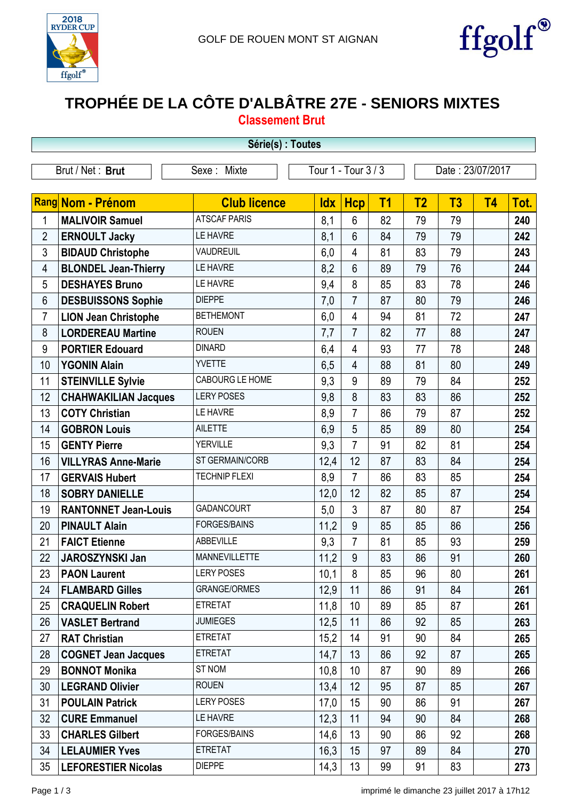



## **TROPHÉE DE LA CÔTE D'ALBÂTRE 27E - SENIORS MIXTES**

**Classement Brut**

| Série(s) : Toutes |                             |                      |            |                         |           |                |                  |           |      |  |  |
|-------------------|-----------------------------|----------------------|------------|-------------------------|-----------|----------------|------------------|-----------|------|--|--|
|                   | Brut / Net: Brut            | Sexe: Mixte          |            | Tour 1 - Tour 3 / 3     |           |                | Date: 23/07/2017 |           |      |  |  |
|                   | Rang Nom - Prénom           | <b>Club licence</b>  | <b>Idx</b> | <b>Hcp</b>              | <b>T1</b> | T <sub>2</sub> | T3               | <b>T4</b> | Tot. |  |  |
| 1                 | <b>MALIVOIR Samuel</b>      | <b>ATSCAF PARIS</b>  | 8,1        | 6                       | 82        | 79             | 79               |           | 240  |  |  |
| $\overline{2}$    | <b>ERNOULT Jacky</b>        | <b>LE HAVRE</b>      | 8,1        | $6\phantom{1}$          | 84        | 79             | 79               |           | 242  |  |  |
| $\mathfrak{Z}$    | <b>BIDAUD Christophe</b>    | <b>VAUDREUIL</b>     | 6,0        | $\overline{4}$          | 81        | 83             | 79               |           | 243  |  |  |
| 4                 | <b>BLONDEL Jean-Thierry</b> | LE HAVRE             | 8,2        | $6\phantom{1}$          | 89        | 79             | 76               |           | 244  |  |  |
| 5                 | <b>DESHAYES Bruno</b>       | LE HAVRE             | 9,4        | 8                       | 85        | 83             | 78               |           | 246  |  |  |
| 6                 | <b>DESBUISSONS Sophie</b>   | <b>DIEPPE</b>        | 7,0        | $\overline{7}$          | 87        | 80             | 79               |           | 246  |  |  |
| $\overline{7}$    | <b>LION Jean Christophe</b> | <b>BETHEMONT</b>     | 6,0        | 4                       | 94        | 81             | 72               |           | 247  |  |  |
| 8                 | <b>LORDEREAU Martine</b>    | <b>ROUEN</b>         | 7,7        | $\overline{7}$          | 82        | 77             | 88               |           | 247  |  |  |
| 9                 | <b>PORTIER Edouard</b>      | <b>DINARD</b>        | 6,4        | $\overline{4}$          | 93        | 77             | 78               |           | 248  |  |  |
| 10                | <b>YGONIN Alain</b>         | <b>YVETTE</b>        | 6,5        | $\overline{\mathbf{4}}$ | 88        | 81             | 80               |           | 249  |  |  |
| 11                | <b>STEINVILLE Sylvie</b>    | CABOURG LE HOME      | 9,3        | 9                       | 89        | 79             | 84               |           | 252  |  |  |
| 12                | <b>CHAHWAKILIAN Jacques</b> | <b>LERY POSES</b>    | 9,8        | 8                       | 83        | 83             | 86               |           | 252  |  |  |
| 13                | <b>COTY Christian</b>       | LE HAVRE             | 8,9        | $\overline{7}$          | 86        | 79             | 87               |           | 252  |  |  |
| 14                | <b>GOBRON Louis</b>         | <b>AILETTE</b>       | 6,9        | 5                       | 85        | 89             | 80               |           | 254  |  |  |
| 15                | <b>GENTY Pierre</b>         | <b>YERVILLE</b>      | 9,3        | $\overline{7}$          | 91        | 82             | 81               |           | 254  |  |  |
| 16                | <b>VILLYRAS Anne-Marie</b>  | ST GERMAIN/CORB      | 12,4       | 12                      | 87        | 83             | 84               |           | 254  |  |  |
| 17                | <b>GERVAIS Hubert</b>       | <b>TECHNIP FLEXI</b> | 8,9        | $\overline{7}$          | 86        | 83             | 85               |           | 254  |  |  |
| 18                | <b>SOBRY DANIELLE</b>       |                      | 12,0       | 12                      | 82        | 85             | 87               |           | 254  |  |  |
| 19                | <b>RANTONNET Jean-Louis</b> | <b>GADANCOURT</b>    | 5,0        | 3                       | 87        | 80             | 87               |           | 254  |  |  |
| 20                | <b>PINAULT Alain</b>        | <b>FORGES/BAINS</b>  | 11,2       | 9                       | 85        | 85             | 86               |           | 256  |  |  |
| 21                | <b>FAICT Etienne</b>        | ABBEVILLE            | 9,3        | $\overline{7}$          | 81        | 85             | 93               |           | 259  |  |  |
| 22                | <b>JAROSZYNSKI Jan</b>      | <b>MANNEVILLETTE</b> | 11,2       | 9                       | 83        | 86             | 91               |           | 260  |  |  |
| 23                | <b>PAON Laurent</b>         | <b>LERY POSES</b>    | 10,1       | 8                       | 85        | 96             | 80               |           | 261  |  |  |
| 24                | <b>FLAMBARD Gilles</b>      | <b>GRANGE/ORMES</b>  | 12,9       | 11                      | 86        | 91             | 84               |           | 261  |  |  |
| 25                | <b>CRAQUELIN Robert</b>     | <b>ETRETAT</b>       | 11,8       | 10                      | 89        | 85             | 87               |           | 261  |  |  |
| 26                | <b>VASLET Bertrand</b>      | <b>JUMIEGES</b>      | 12,5       | 11                      | 86        | 92             | 85               |           | 263  |  |  |
| 27                | <b>RAT Christian</b>        | <b>ETRETAT</b>       | 15,2       | 14                      | 91        | 90             | 84               |           | 265  |  |  |
| 28                | <b>COGNET Jean Jacques</b>  | <b>ETRETAT</b>       | 14,7       | 13                      | 86        | 92             | 87               |           | 265  |  |  |
| 29                | <b>BONNOT Monika</b>        | ST NOM               | 10,8       | 10                      | 87        | 90             | 89               |           | 266  |  |  |
| 30                | <b>LEGRAND Olivier</b>      | <b>ROUEN</b>         | 13,4       | 12                      | 95        | 87             | 85               |           | 267  |  |  |
| 31                | <b>POULAIN Patrick</b>      | <b>LERY POSES</b>    | 17,0       | 15                      | 90        | 86             | 91               |           | 267  |  |  |
| 32                | <b>CURE Emmanuel</b>        | LE HAVRE             | 12,3       | 11                      | 94        | 90             | 84               |           | 268  |  |  |
| 33                | <b>CHARLES Gilbert</b>      | <b>FORGES/BAINS</b>  | 14,6       | 13                      | 90        | 86             | 92               |           | 268  |  |  |
| 34                | <b>LELAUMIER Yves</b>       | <b>ETRETAT</b>       | 16,3       | 15                      | 97        | 89             | 84               |           | 270  |  |  |
| 35                | <b>LEFORESTIER Nicolas</b>  | <b>DIEPPE</b>        | 14,3       | 13                      | 99        | 91             | 83               |           | 273  |  |  |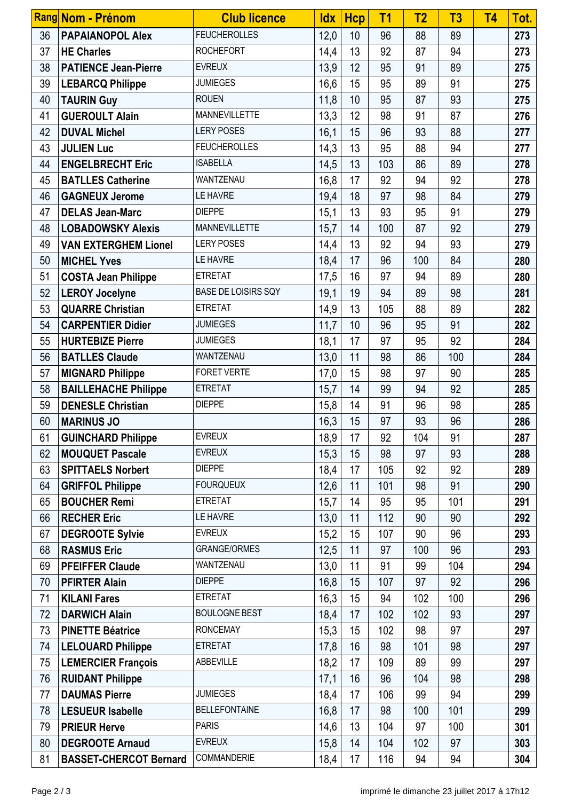|    | Rang Nom - Prénom             | <b>Club licence</b>        | <b>Idx</b> | <b>Hcp</b> | T <sub>1</sub> | T <sub>2</sub> | T <sub>3</sub> | <b>T4</b> | Tot. |
|----|-------------------------------|----------------------------|------------|------------|----------------|----------------|----------------|-----------|------|
| 36 | <b>PAPAIANOPOL Alex</b>       | <b>FEUCHEROLLES</b>        | 12,0       | 10         | 96             | 88             | 89             |           | 273  |
| 37 | <b>HE Charles</b>             | <b>ROCHEFORT</b>           | 14,4       | 13         | 92             | 87             | 94             |           | 273  |
| 38 | <b>PATIENCE Jean-Pierre</b>   | <b>EVREUX</b>              | 13,9       | 12         | 95             | 91             | 89             |           | 275  |
| 39 | <b>LEBARCQ Philippe</b>       | <b>JUMIEGES</b>            | 16,6       | 15         | 95             | 89             | 91             |           | 275  |
| 40 | <b>TAURIN Guy</b>             | <b>ROUEN</b>               | 11,8       | 10         | 95             | 87             | 93             |           | 275  |
| 41 | <b>GUEROULT Alain</b>         | MANNEVILLETTE              | 13,3       | 12         | 98             | 91             | 87             |           | 276  |
| 42 | <b>DUVAL Michel</b>           | <b>LERY POSES</b>          | 16,1       | 15         | 96             | 93             | 88             |           | 277  |
| 43 | <b>JULIEN Luc</b>             | <b>FEUCHEROLLES</b>        | 14,3       | 13         | 95             | 88             | 94             |           | 277  |
| 44 | <b>ENGELBRECHT Eric</b>       | <b>ISABELLA</b>            | 14,5       | 13         | 103            | 86             | 89             |           | 278  |
| 45 | <b>BATLLES Catherine</b>      | WANTZENAU                  | 16,8       | 17         | 92             | 94             | 92             |           | 278  |
| 46 | <b>GAGNEUX Jerome</b>         | LE HAVRE                   | 19,4       | 18         | 97             | 98             | 84             |           | 279  |
| 47 | <b>DELAS Jean-Marc</b>        | <b>DIEPPE</b>              | 15,1       | 13         | 93             | 95             | 91             |           | 279  |
| 48 | <b>LOBADOWSKY Alexis</b>      | <b>MANNEVILLETTE</b>       | 15,7       | 14         | 100            | 87             | 92             |           | 279  |
| 49 | <b>VAN EXTERGHEM Lionel</b>   | <b>LERY POSES</b>          | 14,4       | 13         | 92             | 94             | 93             |           | 279  |
| 50 | <b>MICHEL Yves</b>            | LE HAVRE                   | 18,4       | 17         | 96             | 100            | 84             |           | 280  |
| 51 | <b>COSTA Jean Philippe</b>    | <b>ETRETAT</b>             | 17,5       | 16         | 97             | 94             | 89             |           | 280  |
| 52 | <b>LEROY Jocelyne</b>         | <b>BASE DE LOISIRS SQY</b> | 19,1       | 19         | 94             | 89             | 98             |           | 281  |
| 53 | <b>QUARRE Christian</b>       | <b>ETRETAT</b>             | 14,9       | 13         | 105            | 88             | 89             |           | 282  |
| 54 | <b>CARPENTIER Didier</b>      | <b>JUMIEGES</b>            | 11,7       | 10         | 96             | 95             | 91             |           | 282  |
| 55 | <b>HURTEBIZE Pierre</b>       | <b>JUMIEGES</b>            | 18,1       | 17         | 97             | 95             | 92             |           | 284  |
| 56 | <b>BATLLES Claude</b>         | WANTZENAU                  | 13,0       | 11         | 98             | 86             | 100            |           | 284  |
| 57 | <b>MIGNARD Philippe</b>       | FORET VERTE                | 17,0       | 15         | 98             | 97             | 90             |           | 285  |
| 58 | <b>BAILLEHACHE Philippe</b>   | <b>ETRETAT</b>             | 15,7       | 14         | 99             | 94             | 92             |           | 285  |
| 59 | <b>DENESLE Christian</b>      | <b>DIEPPE</b>              | 15,8       | 14         | 91             | 96             | 98             |           | 285  |
| 60 | <b>MARINUS JO</b>             |                            | 16,3       | 15         | 97             | 93             | 96             |           | 286  |
| 61 | <b>GUINCHARD Philippe</b>     | <b>EVREUX</b>              | 18,9       | 17         | 92             | 104            | 91             |           | 287  |
| 62 | <b>MOUQUET Pascale</b>        | <b>EVREUX</b>              | 15,3       | 15         | 98             | 97             | 93             |           | 288  |
| 63 | <b>SPITTAELS Norbert</b>      | <b>DIEPPE</b>              | 18,4       | 17         | 105            | 92             | 92             |           | 289  |
| 64 | <b>GRIFFOL Philippe</b>       | <b>FOURQUEUX</b>           | 12,6       | 11         | 101            | 98             | 91             |           | 290  |
| 65 | <b>BOUCHER Remi</b>           | <b>ETRETAT</b>             | 15,7       | 14         | 95             | 95             | 101            |           | 291  |
| 66 | <b>RECHER Eric</b>            | LE HAVRE                   | 13,0       | 11         | 112            | 90             | 90             |           | 292  |
| 67 | <b>DEGROOTE Sylvie</b>        | <b>EVREUX</b>              | 15,2       | 15         | 107            | 90             | 96             |           | 293  |
| 68 | <b>RASMUS Eric</b>            | <b>GRANGE/ORMES</b>        | 12,5       | 11         | 97             | 100            | 96             |           | 293  |
| 69 | <b>PFEIFFER Claude</b>        | WANTZENAU                  | 13,0       | 11         | 91             | 99             | 104            |           | 294  |
| 70 | <b>PFIRTER Alain</b>          | <b>DIEPPE</b>              | 16,8       | 15         | 107            | 97             | 92             |           | 296  |
| 71 | <b>KILANI Fares</b>           | <b>ETRETAT</b>             | 16,3       | 15         | 94             | 102            | 100            |           | 296  |
| 72 | <b>DARWICH Alain</b>          | <b>BOULOGNE BEST</b>       | 18,4       | 17         | 102            | 102            | 93             |           | 297  |
| 73 | <b>PINETTE Béatrice</b>       | <b>RONCEMAY</b>            | 15,3       | 15         | 102            | 98             | 97             |           | 297  |
| 74 | <b>LELOUARD Philippe</b>      | <b>ETRETAT</b>             | 17,8       | 16         | 98             | 101            | 98             |           | 297  |
| 75 | <b>LEMERCIER François</b>     | ABBEVILLE                  | 18,2       | 17         | 109            | 89             | 99             |           | 297  |
| 76 | <b>RUIDANT Philippe</b>       |                            | 17,1       | 16         | 96             | 104            | 98             |           | 298  |
| 77 | <b>DAUMAS Pierre</b>          | <b>JUMIEGES</b>            | 18,4       | 17         | 106            | 99             | 94             |           | 299  |
| 78 | <b>LESUEUR Isabelle</b>       | <b>BELLEFONTAINE</b>       | 16,8       | 17         | 98             | 100            | 101            |           | 299  |
| 79 | <b>PRIEUR Herve</b>           | <b>PARIS</b>               | 14,6       | 13         | 104            | 97             | 100            |           | 301  |
| 80 | <b>DEGROOTE Arnaud</b>        | <b>EVREUX</b>              | 15,8       | 14         | 104            | 102            | 97             |           | 303  |
| 81 | <b>BASSET-CHERCOT Bernard</b> | COMMANDERIE                | 18,4       | 17         | 116            | 94             | 94             |           | 304  |